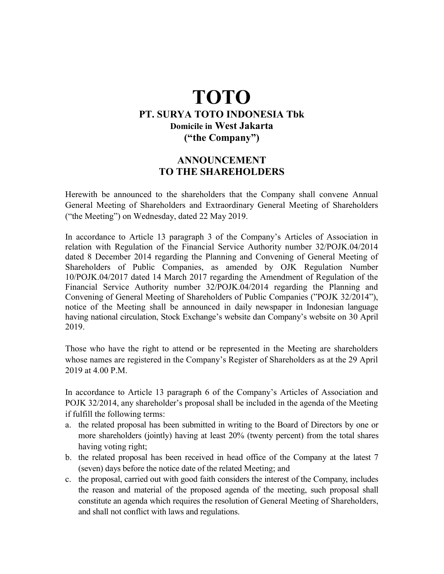## TOTO PT. SURYA TOTO INDONESIA Tbk Domicile in West Jakarta ("the Company")

## ANNOUNCEMENT TO THE SHAREHOLDERS

Herewith be announced to the shareholders that the Company shall convene Annual General Meeting of Shareholders and Extraordinary General Meeting of Shareholders ("the Meeting") on Wednesday, dated 22 May 2019.

In accordance to Article 13 paragraph 3 of the Company's Articles of Association in relation with Regulation of the Financial Service Authority number 32/POJK.04/2014 dated 8 December 2014 regarding the Planning and Convening of General Meeting of Shareholders of Public Companies, as amended by OJK Regulation Number 10/POJK.04/2017 dated 14 March 2017 regarding the Amendment of Regulation of the Financial Service Authority number 32/POJK.04/2014 regarding the Planning and Convening of General Meeting of Shareholders of Public Companies ("POJK 32/2014"), notice of the Meeting shall be announced in daily newspaper in Indonesian language having national circulation, Stock Exchange's website dan Company's website on 30 April 2019.

Those who have the right to attend or be represented in the Meeting are shareholders whose names are registered in the Company's Register of Shareholders as at the 29 April 2019 at 4.00 P.M.

In accordance to Article 13 paragraph 6 of the Company's Articles of Association and POJK 32/2014, any shareholder's proposal shall be included in the agenda of the Meeting if fulfill the following terms:

- a. the related proposal has been submitted in writing to the Board of Directors by one or more shareholders (jointly) having at least 20% (twenty percent) from the total shares having voting right;
- b. the related proposal has been received in head office of the Company at the latest 7 (seven) days before the notice date of the related Meeting; and
- c. the proposal, carried out with good faith considers the interest of the Company, includes the reason and material of the proposed agenda of the meeting, such proposal shall constitute an agenda which requires the resolution of General Meeting of Shareholders, and shall not conflict with laws and regulations.